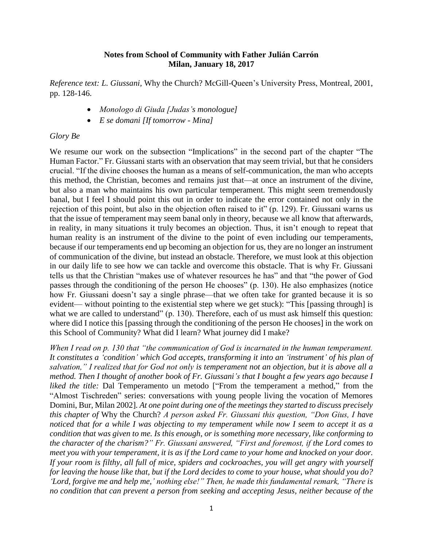## **Notes from School of Community with Father Julián Carrón Milan, January 18, 2017**

*Reference text: L. Giussani,* Why the Church? McGill-Queen's University Press, Montreal, 2001, pp. 128-146.

- *Monologo di Giuda [Judas's monologue]*
- *E se domani [If tomorrow - Mina]*

## *Glory Be*

We resume our work on the subsection "Implications" in the second part of the chapter "The Human Factor." Fr. Giussani starts with an observation that may seem trivial, but that he considers crucial. "If the divine chooses the human as a means of self-communication, the man who accepts this method, the Christian, becomes and remains just that—at once an instrument of the divine, but also a man who maintains his own particular temperament. This might seem tremendously banal, but I feel I should point this out in order to indicate the error contained not only in the rejection of this point, but also in the objection often raised to it" (p. 129). Fr. Giussani warns us that the issue of temperament may seem banal only in theory, because we all know that afterwards, in reality, in many situations it truly becomes an objection. Thus, it isn't enough to repeat that human reality is an instrument of the divine to the point of even including our temperaments, because if our temperaments end up becoming an objection for us, they are no longer an instrument of communication of the divine, but instead an obstacle. Therefore, we must look at this objection in our daily life to see how we can tackle and overcome this obstacle. That is why Fr. Giussani tells us that the Christian "makes use of whatever resources he has" and that "the power of God passes through the conditioning of the person He chooses" (p. 130). He also emphasizes (notice how Fr. Giussani doesn't say a single phrase—that we often take for granted because it is so evident— without pointing to the existential step where we get stuck): "This [passing through] is what we are called to understand" (p. 130). Therefore, each of us must ask himself this question: where did I notice this [passing through the conditioning of the person He chooses] in the work on this School of Community? What did I learn? What journey did I make?

*When I read on p. 130 that "the communication of God is incarnated in the human temperament. It constitutes a 'condition' which God accepts, transforming it into an 'instrument' of his plan of salvation," I realized that for God not only is temperament not an objection, but it is above all a method. Then I thought of another book of Fr. Giussani's that I bought a few years ago because I liked the title:* Dal Temperamento un metodo ["From the temperament a method," from the "Almost Tischreden" series: conversations with young people living the vocation of Memores Domini, Bur, Milan 2002]*. At one point during one of the meetings they started to discuss precisely this chapter of* Why the Church? *A person asked Fr. Giussani this question, "Don Gius, I have noticed that for a while I was objecting to my temperament while now I seem to accept it as a condition that was given to me. Is this enough, or is something more necessary, like conforming to the character of the charism?" Fr. Giussani answered, "First and foremost, if the Lord comes to meet you with your temperament, it is as if the Lord came to your home and knocked on your door. If your room is filthy, all full of mice, spiders and cockroaches, you will get angry with yourself for leaving the house like that, but if the Lord decides to come to your house, what should you do? 'Lord, forgive me and help me,' nothing else!" Then, he made this fundamental remark, "There is no condition that can prevent a person from seeking and accepting Jesus, neither because of the*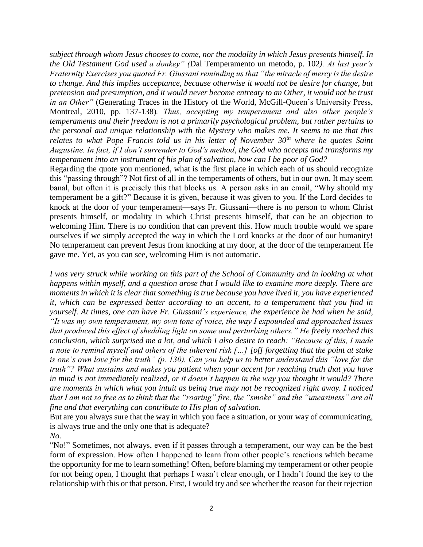*subject through whom Jesus chooses to come, nor the modality in which Jesus presents himself. In the Old Testament God used a donkey" (*Dal Temperamento un metodo, p. 102*). At last year's Fraternity Exercises you quoted Fr. Giussani reminding us that "the miracle of mercy is the desire to change. And this implies acceptance, because otherwise it would not be desire for change, but pretension and presumption, and it would never become entreaty to an Other, it would not be trust in an Other"* (Generating Traces in the History of the World, McGill-Queen's University Press, Montreal, 2010, pp. 137-138)*. Thus, accepting my temperament and also other people's temperaments and their freedom is not a primarily psychological problem, but rather pertains to the personal and unique relationship with the Mystery who makes me. It seems to me that this relates to what Pope Francis told us in his letter of November 30th where he quotes Saint Augustine. In fact, if I don't surrender to God's method, the God who accepts and transforms my temperament into an instrument of his plan of salvation, how can I be poor of God?*

Regarding the quote you mentioned, what is the first place in which each of us should recognize this "passing through"? Not first of all in the temperaments of others, but in our own. It may seem banal, but often it is precisely this that blocks us. A person asks in an email, "Why should my temperament be a gift?" Because it is given, because it was given to you. If the Lord decides to knock at the door of your temperament—says Fr. Giussani—there is no person to whom Christ presents himself, or modality in which Christ presents himself, that can be an objection to welcoming Him. There is no condition that can prevent this. How much trouble would we spare ourselves if we simply accepted the way in which the Lord knocks at the door of our humanity! No temperament can prevent Jesus from knocking at my door, at the door of the temperament He gave me. Yet, as you can see, welcoming Him is not automatic.

*I was very struck while working on this part of the School of Community and in looking at what happens within myself, and a question arose that I would like to examine more deeply. There are moments in which it is clear that something is true because you have lived it, you have experienced it, which can be expressed better according to an accent, to a temperament that you find in yourself. At times, one can have Fr. Giussani's experience, the experience he had when he said, "It was my own temperament, my own tone of voice, the way I expounded and approached issues that produced this effect of shedding light on some and perturbing others." He freely reached this conclusion, which surprised me a lot, and which I also desire to reach: "Because of this, I made a note to remind myself and others of the inherent risk […] [of] forgetting that the point at stake is one's own love for the truth" (p. 130). Can you help us to better understand this "love for the truth"? What sustains and makes you patient when your accent for reaching truth that you have in mind is not immediately realized, or it doesn't happen in the way you thought it would? There are moments in which what you intuit as being true may not be recognized right away. I noticed that I am not so free as to think that the "roaring" fire, the "smoke" and the "uneasiness" are all fine and that everything can contribute to His plan of salvation.*

But are you always sure that the way in which you face a situation, or your way of communicating, is always true and the only one that is adequate?

*No.*

"No!" Sometimes, not always, even if it passes through a temperament, our way can be the best form of expression. How often I happened to learn from other people's reactions which became the opportunity for me to learn something! Often, before blaming my temperament or other people for not being open, I thought that perhaps I wasn't clear enough, or I hadn't found the key to the relationship with this or that person. First, I would try and see whether the reason for their rejection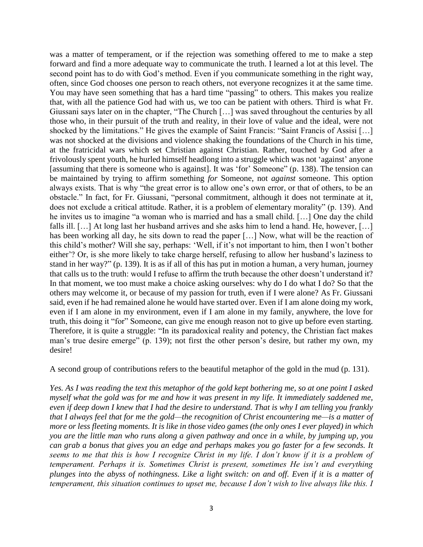was a matter of temperament, or if the rejection was something offered to me to make a step forward and find a more adequate way to communicate the truth. I learned a lot at this level. The second point has to do with God's method. Even if you communicate something in the right way, often, since God chooses one person to reach others, not everyone recognizes it at the same time. You may have seen something that has a hard time "passing" to others. This makes you realize that, with all the patience God had with us, we too can be patient with others. Third is what Fr. Giussani says later on in the chapter, "The Church […] was saved throughout the centuries by all those who, in their pursuit of the truth and reality, in their love of value and the ideal, were not shocked by the limitations." He gives the example of Saint Francis: "Saint Francis of Assisi […] was not shocked at the divisions and violence shaking the foundations of the Church in his time, at the fratricidal wars which set Christian against Christian. Rather, touched by God after a frivolously spent youth, he hurled himself headlong into a struggle which was not 'against' anyone [assuming that there is someone who is against]. It was 'for' Someone" (p. 138). The tension can be maintained by trying to affirm something *for* Someone, not *against* someone. This option always exists. That is why "the great error is to allow one's own error, or that of others, to be an obstacle." In fact, for Fr. Giussani, "personal commitment, although it does not terminate at it, does not exclude a critical attitude. Rather, it is a problem of elementary morality" (p. 139). And he invites us to imagine "a woman who is married and has a small child. […] One day the child falls ill. […] At long last her husband arrives and she asks him to lend a hand. He, however, […] has been working all day, he sits down to read the paper [...] Now, what will be the reaction of this child's mother? Will she say, perhaps: 'Well, if it's not important to him, then I won't bother either'? Or, is she more likely to take charge herself, refusing to allow her husband's laziness to stand in her way?" (p. 139). It is as if all of this has put in motion a human, a very human, journey that calls us to the truth: would I refuse to affirm the truth because the other doesn't understand it? In that moment, we too must make a choice asking ourselves: why do I do what I do? So that the others may welcome it, or because of my passion for truth, even if I were alone? As Fr. Giussani said, even if he had remained alone he would have started over. Even if I am alone doing my work, even if I am alone in my environment, even if I am alone in my family, anywhere, the love for truth, this doing it "for" Someone, can give me enough reason not to give up before even starting. Therefore, it is quite a struggle: "In its paradoxical reality and potency, the Christian fact makes man's true desire emerge" (p. 139); not first the other person's desire, but rather my own, my desire!

A second group of contributions refers to the beautiful metaphor of the gold in the mud (p. 131).

*Yes. As I was reading the text this metaphor of the gold kept bothering me, so at one point I asked myself what the gold was for me and how it was present in my life. It immediately saddened me, even if deep down I knew that I had the desire to understand. That is why I am telling you frankly that I always feel that for me the gold—the recognition of Christ encountering me—is a matter of more or less fleeting moments. It is like in those video games (the only ones I ever played) in which you are the little man who runs along a given pathway and once in a while, by jumping up, you can grab a bonus that gives you an edge and perhaps makes you go faster for a few seconds. It seems to me that this is how I recognize Christ in my life. I don't know if it is a problem of temperament. Perhaps it is. Sometimes Christ is present, sometimes He isn't and everything plunges into the abyss of nothingness. Like a light switch: on and off. Even if it is a matter of temperament, this situation continues to upset me, because I don't wish to live always like this. I*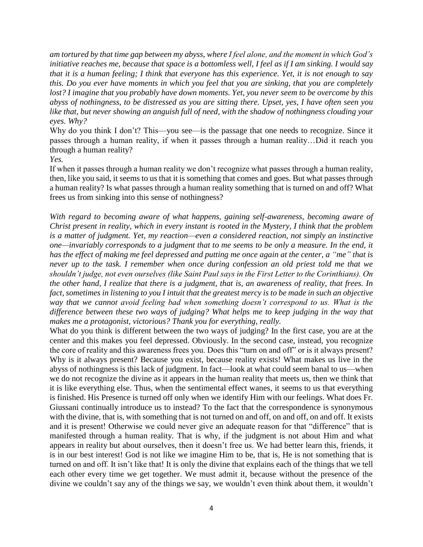*am tortured by that time gap between my abyss, where I feel alone, and the moment in which God's initiative reaches me, because that space is a bottomless well, I feel as if I am sinking. I would say that it is a human feeling; I think that everyone has this experience. Yet, it is not enough to say this. Do you ever have moments in which you feel that you are sinking, that you are completely lost? I imagine that you probably have down moments. Yet, you never seem to be overcome by this abyss of nothingness, to be distressed as you are sitting there. Upset, yes, I have often seen you like that, but never showing an anguish full of need, with the shadow of nothingness clouding your eyes. Why?*

Why do you think I don't? This—you see—is the passage that one needs to recognize. Since it passes through a human reality, if when it passes through a human reality…Did it reach you through a human reality?

*Yes.*

If when it passes through a human reality we don't recognize what passes through a human reality, then, like you said, it seems to us that it is something that comes and goes. But what passes through a human reality? Is what passes through a human reality something that is turned on and off? What frees us from sinking into this sense of nothingness?

*With regard to becoming aware of what happens, gaining self-awareness, becoming aware of Christ present in reality, which in every instant is rooted in the Mystery, I think that the problem is a matter of judgment. Yet, my reaction—even a considered reaction, not simply an instinctive one—invariably corresponds to a judgment that to me seems to be only a measure. In the end, it has the effect of making me feel depressed and putting me once again at the center, a "me" that is never up to the task. I remember when once during confession an old priest told me that we shouldn't judge, not even ourselves (like Saint Paul says in the First Letter to the Corinthians). On the other hand, I realize that there is a judgment, that is, an awareness of reality, that frees. In fact, sometimes in listening to you I intuit that the greatest mercy is to be made in such an objective way that we cannot avoid feeling bad when something doesn't correspond to us. What is the difference between these two ways of judging? What helps me to keep judging in the way that makes me a protagonist, victorious? Thank you for everything, really.*

What do you think is different between the two ways of judging? In the first case, you are at the center and this makes you feel depressed. Obviously. In the second case, instead, you recognize the core of reality and this awareness frees you. Does this "turn on and off" or is it always present? Why is it always present? Because you exist, because reality exists! What makes us live in the abyss of nothingness is this lack of judgment. In fact—look at what could seem banal to us—when we do not recognize the divine as it appears in the human reality that meets us, then we think that it is like everything else. Thus, when the sentimental effect wanes, it seems to us that everything is finished. His Presence is turned off only when we identify Him with our feelings. What does Fr. Giussani continually introduce us to instead? To the fact that the correspondence is synonymous with the divine, that is, with something that is not turned on and off, on and off, on and off. It exists and it is present! Otherwise we could never give an adequate reason for that "difference" that is manifested through a human reality. That is why, if the judgment is not about Him and what appears in reality but about ourselves, then it doesn't free us. We had better learn this, friends, it is in our best interest! God is not like we imagine Him to be, that is, He is not something that is turned on and off. It isn't like that! It is only the divine that explains each of the things that we tell each other every time we get together. We must admit it, because without the presence of the divine we couldn't say any of the things we say, we wouldn't even think about them, it wouldn't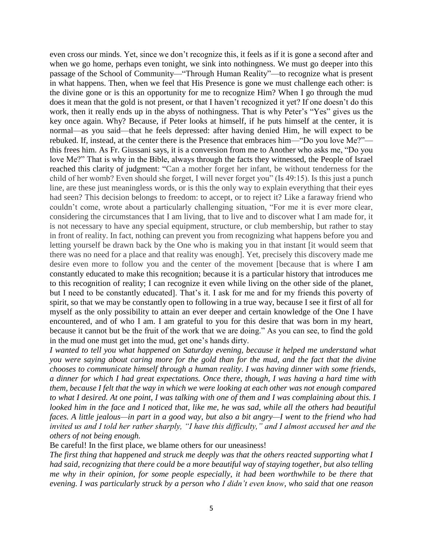even cross our minds. Yet, since we don't recognize this, it feels as if it is gone a second after and when we go home, perhaps even tonight, we sink into nothingness. We must go deeper into this passage of the School of Community—"Through Human Reality"—to recognize what is present in what happens. Then, when we feel that His Presence is gone we must challenge each other: is the divine gone or is this an opportunity for me to recognize Him? When I go through the mud does it mean that the gold is not present, or that I haven't recognized it yet? If one doesn't do this work, then it really ends up in the abyss of nothingness. That is why Peter's "Yes" gives us the key once again. Why? Because, if Peter looks at himself, if he puts himself at the center, it is normal—as you said—that he feels depressed: after having denied Him, he will expect to be rebuked. If, instead, at the center there is the Presence that embraces him—"Do you love Me?" this frees him. As Fr. Giussani says, it is a conversion from me to Another who asks me, "Do you love Me?" That is why in the Bible, always through the facts they witnessed, the People of Israel reached this clarity of judgment: "Can a mother forget her infant, be without tenderness for the child of her womb? Even should she forget, I will never forget you" (Is 49:15). Is this just a punch line, are these just meaningless words, or is this the only way to explain everything that their eyes had seen? This decision belongs to freedom: to accept, or to reject it? Like a faraway friend who couldn't come, wrote about a particularly challenging situation, "For me it is ever more clear, considering the circumstances that I am living, that to live and to discover what I am made for, it is not necessary to have any special equipment, structure, or club membership, but rather to stay in front of reality. In fact, nothing can prevent you from recognizing what happens before you and letting yourself be drawn back by the One who is making you in that instant [it would seem that there was no need for a place and that reality was enough]. Yet, precisely this discovery made me desire even more to follow you and the center of the movement [because that is where I am constantly educated to make this recognition; because it is a particular history that introduces me to this recognition of reality; I can recognize it even while living on the other side of the planet, but I need to be constantly educated]. That's it. I ask for me and for my friends this poverty of spirit, so that we may be constantly open to following in a true way, because I see it first of all for myself as the only possibility to attain an ever deeper and certain knowledge of the One I have encountered, and of who I am. I am grateful to you for this desire that was born in my heart, because it cannot but be the fruit of the work that we are doing." As you can see, to find the gold in the mud one must get into the mud, get one's hands dirty.

*I wanted to tell you what happened on Saturday evening, because it helped me understand what you were saying about caring more for the gold than for the mud, and the fact that the divine chooses to communicate himself through a human reality. I was having dinner with some friends, a dinner for which I had great expectations. Once there, though, I was having a hard time with them, because I felt that the way in which we were looking at each other was not enough compared to what I desired. At one point, I was talking with one of them and I was complaining about this. I looked him in the face and I noticed that, like me, he was sad, while all the others had beautiful faces. A little jealous—in part in a good way, but also a bit angry—I went to the friend who had invited us and I told her rather sharply, "I have this difficulty," and I almost accused her and the others of not being enough.*

Be careful! In the first place, we blame others for our uneasiness!

*The first thing that happened and struck me deeply was that the others reacted supporting what I had said, recognizing that there could be a more beautiful way of staying together, but also telling me why in their opinion, for some people especially, it had been worthwhile to be there that evening. I was particularly struck by a person who I didn't even know, who said that one reason*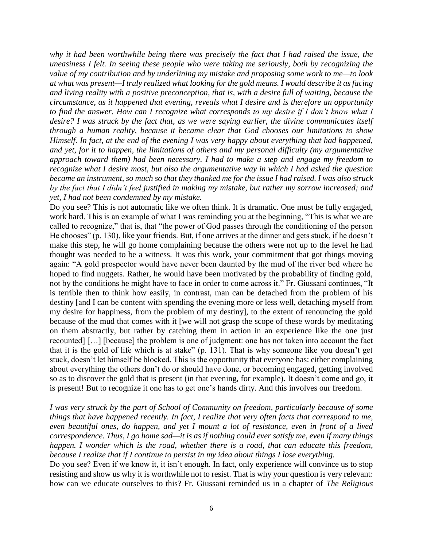*why it had been worthwhile being there was precisely the fact that I had raised the issue, the uneasiness I felt. In seeing these people who were taking me seriously, both by recognizing the value of my contribution and by underlining my mistake and proposing some work to me—to look at what was present—I truly realized what looking for the gold means. I would describe it as facing and living reality with a positive preconception, that is, with a desire full of waiting, because the circumstance, as it happened that evening, reveals what I desire and is therefore an opportunity to find the answer. How can I recognize what corresponds to my desire if I don't know what I desire? I was struck by the fact that, as we were saying earlier, the divine communicates itself through a human reality, because it became clear that God chooses our limitations to show Himself. In fact, at the end of the evening I was very happy about everything that had happened, and yet, for it to happen, the limitations of others and my personal difficulty (my argumentative approach toward them) had been necessary. I had to make a step and engage my freedom to recognize what I desire most, but also the argumentative way in which I had asked the question became an instrument, so much so that they thanked me for the issue I had raised. I was also struck by the fact that I didn't feel justified in making my mistake, but rather my sorrow increased; and yet, I had not been condemned by my mistake.*

Do you see? This is not automatic like we often think. It is dramatic. One must be fully engaged, work hard. This is an example of what I was reminding you at the beginning, "This is what we are called to recognize," that is, that "the power of God passes through the conditioning of the person He chooses" (p. 130), like your friends. But, if one arrives at the dinner and gets stuck, if he doesn't make this step, he will go home complaining because the others were not up to the level he had thought was needed to be a witness. It was this work, your commitment that got things moving again: "A gold prospector would have never been daunted by the mud of the river bed where he hoped to find nuggets. Rather, he would have been motivated by the probability of finding gold, not by the conditions he might have to face in order to come across it." Fr. Giussani continues, "It is terrible then to think how easily, in contrast, man can be detached from the problem of his destiny [and I can be content with spending the evening more or less well, detaching myself from my desire for happiness, from the problem of my destiny], to the extent of renouncing the gold because of the mud that comes with it [we will not grasp the scope of these words by meditating on them abstractly, but rather by catching them in action in an experience like the one just recounted] […] [because] the problem is one of judgment: one has not taken into account the fact that it is the gold of life which is at stake" (p. 131). That is why someone like you doesn't get stuck, doesn't let himself be blocked. This is the opportunity that everyone has: either complaining about everything the others don't do or should have done, or becoming engaged, getting involved so as to discover the gold that is present (in that evening, for example). It doesn't come and go, it is present! But to recognize it one has to get one's hands dirty. And this involves our freedom.

*I was very struck by the part of School of Community on freedom, particularly because of some things that have happened recently. In fact, I realize that very often facts that correspond to me, even beautiful ones, do happen, and yet I mount a lot of resistance, even in front of a lived correspondence. Thus, I go home sad—it is as if nothing could ever satisfy me, even if many things happen. I wonder which is the road, whether there is a road, that can educate this freedom, because I realize that if I continue to persist in my idea about things I lose everything.*

Do you see? Even if we know it, it isn't enough. In fact, only experience will convince us to stop resisting and show us why it is worthwhile not to resist. That is why your question is very relevant: how can we educate ourselves to this? Fr. Giussani reminded us in a chapter of *The Religious*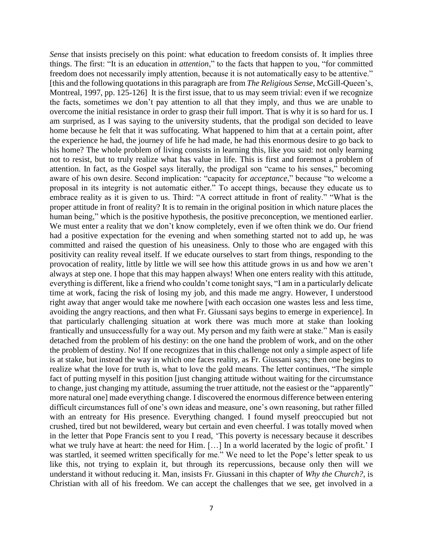*Sense* that insists precisely on this point: what education to freedom consists of. It implies three things. The first: "It is an education in *attention*," to the facts that happen to you, "for committed freedom does not necessarily imply attention, because it is not automatically easy to be attentive." [this and the following quotations in this paragraph are from *The Religious Sense*, McGill-Queen's, Montreal, 1997, pp. 125-126] It is the first issue, that to us may seem trivial: even if we recognize the facts, sometimes we don't pay attention to all that they imply, and thus we are unable to overcome the initial resistance in order to grasp their full import. That is why it is so hard for us. I am surprised, as I was saying to the university students, that the prodigal son decided to leave home because he felt that it was suffocating. What happened to him that at a certain point, after the experience he had, the journey of life he had made, he had this enormous desire to go back to his home? The whole problem of living consists in learning this, like you said: not only learning not to resist, but to truly realize what has value in life. This is first and foremost a problem of attention. In fact, as the Gospel says literally, the prodigal son "came to his senses," becoming aware of his own desire. Second implication: "capacity for *acceptance*," because "to welcome a proposal in its integrity is not automatic either." To accept things, because they educate us to embrace reality as it is given to us. Third: "A correct attitude in front of reality." "What is the proper attitude in front of reality? It is to remain in the original position in which nature places the human being," which is the positive hypothesis, the positive preconception, we mentioned earlier. We must enter a reality that we don't know completely, even if we often think we do. Our friend had a positive expectation for the evening and when something started not to add up, he was committed and raised the question of his uneasiness. Only to those who are engaged with this positivity can reality reveal itself. If we educate ourselves to start from things, responding to the provocation of reality, little by little we will see how this attitude grows in us and how we aren't always at step one. I hope that this may happen always! When one enters reality with this attitude, everything is different, like a friend who couldn't come tonight says, "I am in a particularly delicate time at work, facing the risk of losing my job, and this made me angry. However, I understood right away that anger would take me nowhere [with each occasion one wastes less and less time, avoiding the angry reactions, and then what Fr. Giussani says begins to emerge in experience]. In that particularly challenging situation at work there was much more at stake than looking frantically and unsuccessfully for a way out. My person and my faith were at stake." Man is easily detached from the problem of his destiny: on the one hand the problem of work, and on the other the problem of destiny. No! If one recognizes that in this challenge not only a simple aspect of life is at stake, but instead the way in which one faces reality, as Fr. Giussani says; then one begins to realize what the love for truth is, what to love the gold means. The letter continues, "The simple fact of putting myself in this position [just changing attitude without waiting for the circumstance to change, just changing my attitude, assuming the truer attitude, not the easiest or the "apparently" more natural one] made everything change. I discovered the enormous difference between entering difficult circumstances full of one's own ideas and measure, one's own reasoning, but rather filled with an entreaty for His presence. Everything changed. I found myself preoccupied but not crushed, tired but not bewildered, weary but certain and even cheerful. I was totally moved when in the letter that Pope Francis sent to you I read, 'This poverty is necessary because it describes what we truly have at heart: the need for Him. […] In a world lacerated by the logic of profit.' I was startled, it seemed written specifically for me." We need to let the Pope's letter speak to us like this, not trying to explain it, but through its repercussions, because only then will we understand it without reducing it. Man, insists Fr. Giussani in this chapter of *Why the Church?*, is Christian with all of his freedom. We can accept the challenges that we see, get involved in a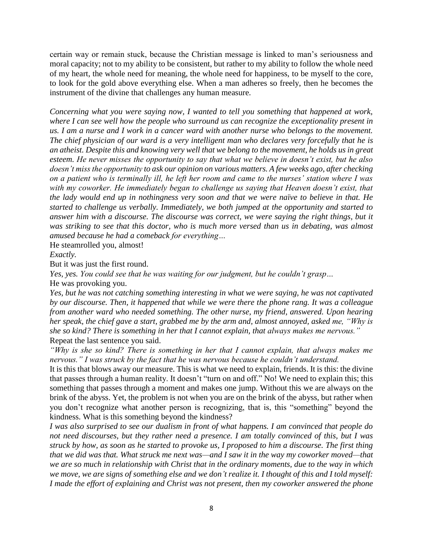certain way or remain stuck, because the Christian message is linked to man's seriousness and moral capacity; not to my ability to be consistent, but rather to my ability to follow the whole need of my heart, the whole need for meaning, the whole need for happiness, to be myself to the core, to look for the gold above everything else. When a man adheres so freely, then he becomes the instrument of the divine that challenges any human measure.

*Concerning what you were saying now, I wanted to tell you something that happened at work, where I can see well how the people who surround us can recognize the exceptionality present in us. I am a nurse and I work in a cancer ward with another nurse who belongs to the movement. The chief physician of our ward is a very intelligent man who declares very forcefully that he is an atheist. Despite this and knowing very well that we belong to the movement, he holds us in great esteem. He never misses the opportunity to say that what we believe in doesn't exist, but he also doesn't miss the opportunity to ask our opinion on various matters. A few weeks ago, after checking on a patient who is terminally ill, he left her room and came to the nurses' station where I was with my coworker. He immediately began to challenge us saying that Heaven doesn't exist, that the lady would end up in nothingness very soon and that we were naïve to believe in that. He started to challenge us verbally. Immediately, we both jumped at the opportunity and started to answer him with a discourse. The discourse was correct, we were saying the right things, but it was striking to see that this doctor, who is much more versed than us in debating, was almost amused because he had a comeback for everything…*

He steamrolled you, almost!

*Exactly.*

But it was just the first round.

*Yes, yes. You could see that he was waiting for our judgment, but he couldn't grasp…*

He was provoking you.

*Yes, but he was not catching something interesting in what we were saying, he was not captivated by our discourse. Then, it happened that while we were there the phone rang. It was a colleague from another ward who needed something. The other nurse, my friend, answered. Upon hearing her speak, the chief gave a start, grabbed me by the arm and, almost annoyed, asked me, "Why is she so kind? There is something in her that I cannot explain, that always makes me nervous."* Repeat the last sentence you said.

*"Why is she so kind? There is something in her that I cannot explain, that always makes me nervous." I was struck by the fact that he was nervous because he couldn't understand.*

It is this that blows away our measure. This is what we need to explain, friends. It is this: the divine that passes through a human reality. It doesn't "turn on and off." No! We need to explain this; this something that passes through a moment and makes one jump. Without this we are always on the brink of the abyss. Yet, the problem is not when you are on the brink of the abyss, but rather when you don't recognize what another person is recognizing, that is, this "something" beyond the kindness. What is this something beyond the kindness?

*I was also surprised to see our dualism in front of what happens. I am convinced that people do not need discourses, but they rather need a presence. I am totally convinced of this, but I was struck by how, as soon as he started to provoke us, I proposed to him a discourse. The first thing that we did was that. What struck me next was—and I saw it in the way my coworker moved—that we are so much in relationship with Christ that in the ordinary moments, due to the way in which we move, we are signs of something else and we don't realize it. I thought of this and I told myself: I made the effort of explaining and Christ was not present, then my coworker answered the phone*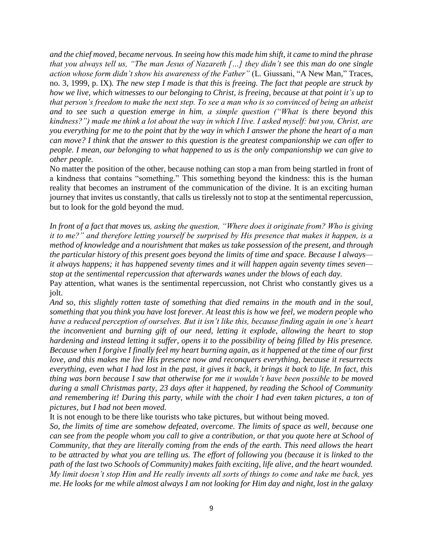*and the chief moved, became nervous. In seeing how this made him shift, it came to mind the phrase that you always tell us, "The man Jesus of Nazareth […] they didn't see this man do one single action whose form didn't show his awareness of the Father"* (L. Giussani, "A New Man," Traces, no. 3, 1999, p. IX)*. The new step I made is that this is freeing. The fact that people are struck by how we live, which witnesses to our belonging to Christ, is freeing, because at that point it's up to that person's freedom to make the next step. To see a man who is so convinced of being an atheist and to see such a question emerge in him, a simple question ("What is there beyond this kindness?") made me think a lot about the way in which I live. I asked myself: but you, Christ, are you everything for me to the point that by the way in which I answer the phone the heart of a man can move? I think that the answer to this question is the greatest companionship we can offer to people. I mean, our belonging to what happened to us is the only companionship we can give to other people.*

No matter the position of the other, because nothing can stop a man from being startled in front of a kindness that contains "something." This something beyond the kindness: this is the human reality that becomes an instrument of the communication of the divine. It is an exciting human journey that invites us constantly, that calls us tirelessly not to stop at the sentimental repercussion, but to look for the gold beyond the mud.

*In front of a fact that moves us, asking the question, "Where does it originate from? Who is giving it to me?" and therefore letting yourself be surprised by His presence that makes it happen, is a method of knowledge and a nourishment that makes us take possession of the present, and through the particular history of this present goes beyond the limits of time and space. Because I always it always happens; it has happened seventy times and it will happen again seventy times seven stop at the sentimental repercussion that afterwards wanes under the blows of each day.*

Pay attention, what wanes is the sentimental repercussion, not Christ who constantly gives us a jolt.

*And so, this slightly rotten taste of something that died remains in the mouth and in the soul, something that you think you have lost forever. At least this is how we feel, we modern people who have a reduced perception of ourselves. But it isn't like this, because finding again in one's heart the inconvenient and burning gift of our need, letting it explode, allowing the heart to stop hardening and instead letting it suffer, opens it to the possibility of being filled by His presence. Because when I forgive I finally feel my heart burning again, as it happened at the time of our first love, and this makes me live His presence now and reconquers everything, because it resurrects everything, even what I had lost in the past, it gives it back, it brings it back to life. In fact, this thing was born because I saw that otherwise for me it wouldn't have been possible to be moved during a small Christmas party, 23 days after it happened, by reading the School of Community and remembering it! During this party, while with the choir I had even taken pictures, a ton of pictures, but I had not been moved.*

It is not enough to be there like tourists who take pictures, but without being moved.

*So, the limits of time are somehow defeated, overcome. The limits of space as well, because one can see from the people whom you call to give a contribution, or that you quote here at School of Community, that they are literally coming from the ends of the earth. This need allows the heart to be attracted by what you are telling us. The effort of following you (because it is linked to the path of the last two Schools of Community) makes faith exciting, life alive, and the heart wounded. My limit doesn't stop Him and He really invents all sorts of things to come and take me back, yes me. He looks for me while almost always I am not looking for Him day and night, lost in the galaxy*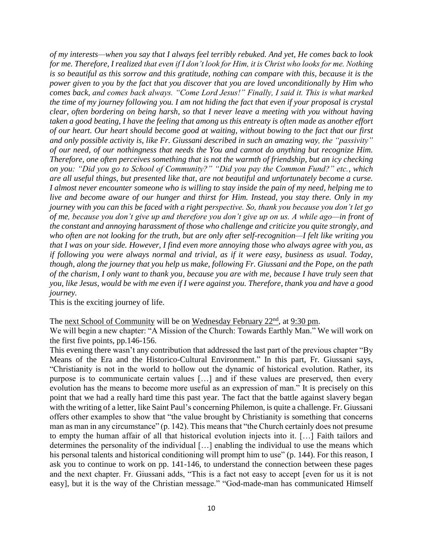*of my interests—when you say that I always feel terribly rebuked. And yet, He comes back to look for me. Therefore, I realized that even if I don't look for Him, it is Christ who looks for me. Nothing is so beautiful as this sorrow and this gratitude, nothing can compare with this, because it is the power given to you by the fact that you discover that you are loved unconditionally by Him who comes back, and comes back always. "Come Lord Jesus!" Finally, I said it. This is what marked the time of my journey following you. I am not hiding the fact that even if your proposal is crystal clear, often bordering on being harsh, so that I never leave a meeting with you without having taken a good beating, I have the feeling that among us this entreaty is often made as another effort of our heart. Our heart should become good at waiting, without bowing to the fact that our first and only possible activity is, like Fr. Giussani described in such an amazing way, the "passivity" of our need, of our nothingness that needs the You and cannot do anything but recognize Him. Therefore, one often perceives something that is not the warmth of friendship, but an icy checking on you: "Did you go to School of Community?" "Did you pay the Common Fund?" etc., which are all useful things, but presented like that, are not beautiful and unfortunately become a curse. I almost never encounter someone who is willing to stay inside the pain of my need, helping me to live and become aware of our hunger and thirst for Him. Instead, you stay there. Only in my journey with you can this be faced with a right perspective. So, thank you because you don't let go of me, because you don't give up and therefore you don't give up on us. A while ago—in front of the constant and annoying harassment of those who challenge and criticize you quite strongly, and who often are not looking for the truth, but are only after self-recognition—I felt like writing you that I was on your side. However, I find even more annoying those who always agree with you, as if following you were always normal and trivial, as if it were easy, business as usual. Today, though, along the journey that you help us make, following Fr. Giussani and the Pope, on the path of the charism, I only want to thank you, because you are with me, because I have truly seen that you, like Jesus, would be with me even if I were against you. Therefore, thank you and have a good journey.* 

This is the exciting journey of life.

The next School of Community will be on Wednesday February 22<sup>nd</sup>, at 9:30 pm.

We will begin a new chapter: "A Mission of the Church: Towards Earthly Man." We will work on the first five points, pp.146-156.

This evening there wasn't any contribution that addressed the last part of the previous chapter "By Means of the Era and the Historico-Cultural Environment." In this part, Fr. Giussani says, "Christianity is not in the world to hollow out the dynamic of historical evolution. Rather, its purpose is to communicate certain values […] and if these values are preserved, then every evolution has the means to become more useful as an expression of man." It is precisely on this point that we had a really hard time this past year. The fact that the battle against slavery began with the writing of a letter, like Saint Paul's concerning Philemon, is quite a challenge. Fr. Giussani offers other examples to show that "the value brought by Christianity is something that concerns man as man in any circumstance" (p. 142). This means that "the Church certainly does not presume to empty the human affair of all that historical evolution injects into it. […] Faith tailors and determines the personality of the individual […] enabling the individual to use the means which his personal talents and historical conditioning will prompt him to use" (p. 144). For this reason, I ask you to continue to work on pp. 141-146, to understand the connection between these pages and the next chapter. Fr. Giussani adds, "This is a fact not easy to accept [even for us it is not easy], but it is the way of the Christian message." "God-made-man has communicated Himself